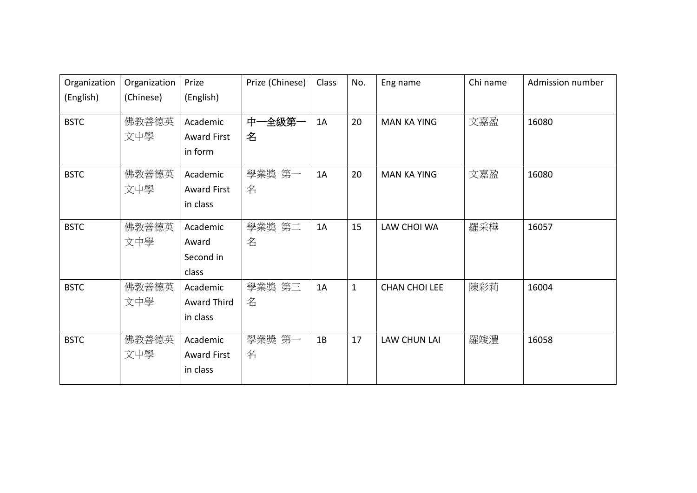| Organization | Organization | Prize              | Prize (Chinese) | Class | No.          | Eng name             | Chi name | Admission number |
|--------------|--------------|--------------------|-----------------|-------|--------------|----------------------|----------|------------------|
| (English)    | (Chinese)    | (English)          |                 |       |              |                      |          |                  |
| <b>BSTC</b>  | 佛教善德英        | Academic           | 中一全級第一          | 1A    | 20           | <b>MAN KA YING</b>   | 文嘉盈      | 16080            |
|              | 文中學          | <b>Award First</b> | 名               |       |              |                      |          |                  |
|              |              | in form            |                 |       |              |                      |          |                  |
| <b>BSTC</b>  | 佛教善德英        | Academic           | 學業獎 第一          | 1A    | 20           | <b>MAN KA YING</b>   | 文嘉盈      | 16080            |
|              | 文中學          | <b>Award First</b> | 名               |       |              |                      |          |                  |
|              |              | in class           |                 |       |              |                      |          |                  |
| <b>BSTC</b>  | 佛教善德英        | Academic           | 學業獎 第二          | 1A    | 15           | LAW CHOI WA          | 羅采樺      | 16057            |
|              | 文中學          | Award              | 名               |       |              |                      |          |                  |
|              |              | Second in          |                 |       |              |                      |          |                  |
|              |              | class              |                 |       |              |                      |          |                  |
| <b>BSTC</b>  | 佛教善德英        | Academic           | 學業獎 第三          | 1A    | $\mathbf{1}$ | <b>CHAN CHOI LEE</b> | 陳彩莉      | 16004            |
|              | 文中學          | Award Third        | 名               |       |              |                      |          |                  |
|              |              | in class           |                 |       |              |                      |          |                  |
| <b>BSTC</b>  | 佛教善德英        | Academic           | 學業獎 第一          | 1B    | 17           | <b>LAW CHUN LAI</b>  | 羅竣澧      | 16058            |
|              | 文中學          | <b>Award First</b> | 名               |       |              |                      |          |                  |
|              |              | in class           |                 |       |              |                      |          |                  |
|              |              |                    |                 |       |              |                      |          |                  |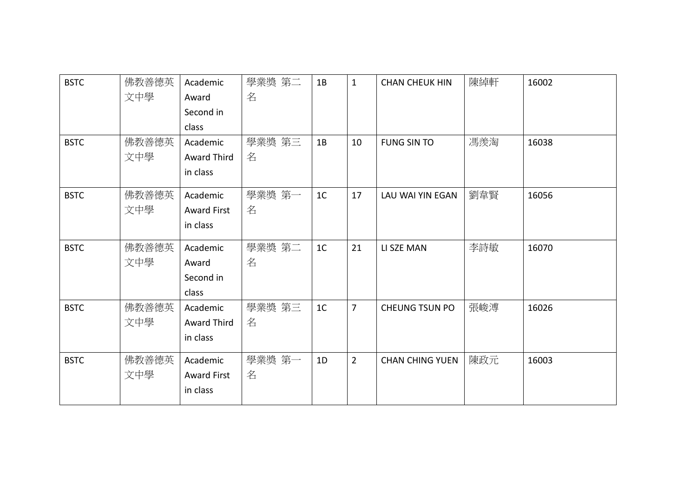| <b>BSTC</b> | 佛教善德英 | Academic           | 學業獎 第二 | 1B             | $\mathbf{1}$   | <b>CHAN CHEUK HIN</b>  | 陳綽軒 | 16002 |
|-------------|-------|--------------------|--------|----------------|----------------|------------------------|-----|-------|
|             | 文中學   | Award              | 名      |                |                |                        |     |       |
|             |       | Second in          |        |                |                |                        |     |       |
|             |       | class              |        |                |                |                        |     |       |
| <b>BSTC</b> | 佛教善德英 | Academic           | 學業獎 第三 | 1B             | 10             | <b>FUNG SIN TO</b>     | 馮羨淘 | 16038 |
|             | 文中學   | <b>Award Third</b> | 名      |                |                |                        |     |       |
|             |       | in class           |        |                |                |                        |     |       |
| <b>BSTC</b> | 佛教善德英 | Academic           | 學業獎 第一 | 1 <sup>C</sup> | 17             | LAU WAI YIN EGAN       | 劉韋賢 | 16056 |
|             | 文中學   | <b>Award First</b> | 名      |                |                |                        |     |       |
|             |       | in class           |        |                |                |                        |     |       |
| <b>BSTC</b> | 佛教善德英 | Academic           | 學業獎 第二 | 1 <sup>C</sup> | 21             | LI SZE MAN             | 李詩敏 | 16070 |
|             | 文中學   | Award              | 名      |                |                |                        |     |       |
|             |       | Second in          |        |                |                |                        |     |       |
|             |       | class              |        |                |                |                        |     |       |
| <b>BSTC</b> | 佛教善德英 | Academic           | 學業獎 第三 | 1 <sup>C</sup> | $\overline{7}$ | CHEUNG TSUN PO         | 張峻溥 | 16026 |
|             | 文中學   | Award Third        | 名      |                |                |                        |     |       |
|             |       | in class           |        |                |                |                        |     |       |
| <b>BSTC</b> | 佛教善德英 | Academic           | 學業獎 第一 | 1D             | $\overline{2}$ | <b>CHAN CHING YUEN</b> | 陳政元 | 16003 |
|             | 文中學   | <b>Award First</b> | 名      |                |                |                        |     |       |
|             |       | in class           |        |                |                |                        |     |       |
|             |       |                    |        |                |                |                        |     |       |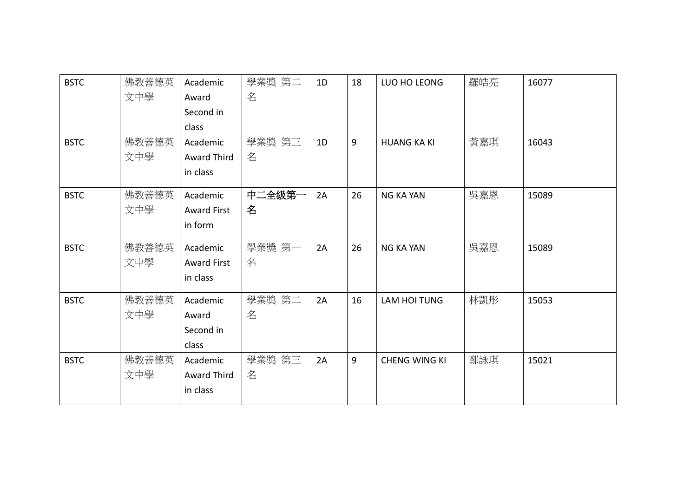| <b>BSTC</b> | 佛教善德英 | Academic           | 學業獎 第二 | 1D | 18 | LUO HO LEONG         | 羅皓亮 | 16077 |
|-------------|-------|--------------------|--------|----|----|----------------------|-----|-------|
|             | 文中學   | Award              | 名      |    |    |                      |     |       |
|             |       | Second in          |        |    |    |                      |     |       |
|             |       | class              |        |    |    |                      |     |       |
| <b>BSTC</b> | 佛教善德英 | Academic           | 學業獎 第三 | 1D | 9  | <b>HUANG KA KI</b>   | 黃嘉琪 | 16043 |
|             | 文中學   | Award Third        | 名      |    |    |                      |     |       |
|             |       | in class           |        |    |    |                      |     |       |
| <b>BSTC</b> | 佛教善德英 | Academic           | 中二全級第一 | 2A | 26 | <b>NG KA YAN</b>     | 吳嘉恩 | 15089 |
|             | 文中學   | <b>Award First</b> | 名      |    |    |                      |     |       |
|             |       | in form            |        |    |    |                      |     |       |
| <b>BSTC</b> | 佛教善德英 | Academic           | 學業獎 第一 | 2A | 26 | <b>NG KA YAN</b>     | 吳嘉恩 | 15089 |
|             | 文中學   | <b>Award First</b> | 名      |    |    |                      |     |       |
|             |       | in class           |        |    |    |                      |     |       |
| <b>BSTC</b> | 佛教善德英 | Academic           | 學業獎 第二 | 2A | 16 | LAM HOI TUNG         | 林凱彤 | 15053 |
|             | 文中學   | Award              | 名      |    |    |                      |     |       |
|             |       | Second in          |        |    |    |                      |     |       |
|             |       | class              |        |    |    |                      |     |       |
| <b>BSTC</b> | 佛教善德英 | Academic           | 學業獎 第三 | 2A | 9  | <b>CHENG WING KI</b> | 鄭詠琪 | 15021 |
|             | 文中學   | Award Third        | 名      |    |    |                      |     |       |
|             |       | in class           |        |    |    |                      |     |       |
|             |       |                    |        |    |    |                      |     |       |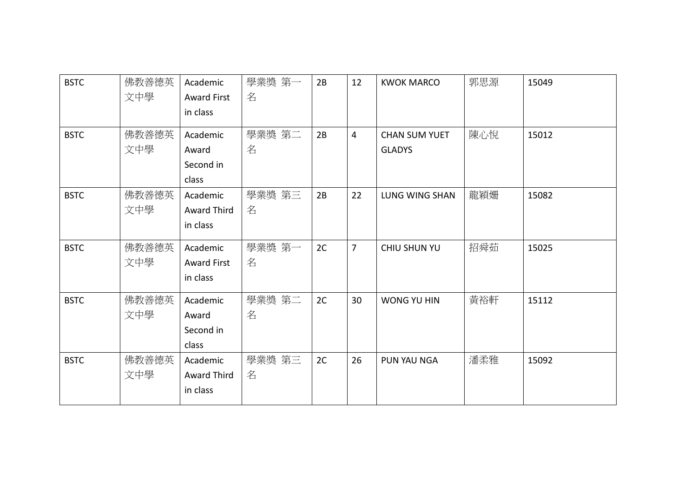| <b>BSTC</b> | 佛教善德英 | Academic           | 學業獎 第一 | 2B | 12             | <b>KWOK MARCO</b>    | 郭思源 | 15049 |
|-------------|-------|--------------------|--------|----|----------------|----------------------|-----|-------|
|             | 文中學   | <b>Award First</b> | 名      |    |                |                      |     |       |
|             |       | in class           |        |    |                |                      |     |       |
| <b>BSTC</b> | 佛教善德英 | Academic           | 學業獎 第二 | 2B | $\overline{4}$ | <b>CHAN SUM YUET</b> | 陳心悅 | 15012 |
|             | 文中學   | Award              | 名      |    |                | <b>GLADYS</b>        |     |       |
|             |       | Second in          |        |    |                |                      |     |       |
|             |       | class              |        |    |                |                      |     |       |
| <b>BSTC</b> | 佛教善德英 | Academic           | 學業獎 第三 | 2B | 22             | LUNG WING SHAN       | 龍穎姍 | 15082 |
|             | 文中學   | <b>Award Third</b> | 名      |    |                |                      |     |       |
|             |       | in class           |        |    |                |                      |     |       |
| <b>BSTC</b> | 佛教善德英 | Academic           | 學業獎 第一 | 2C | $\overline{7}$ | <b>CHIU SHUN YU</b>  | 招舜茹 | 15025 |
|             | 文中學   | <b>Award First</b> | 名      |    |                |                      |     |       |
|             |       | in class           |        |    |                |                      |     |       |
| <b>BSTC</b> | 佛教善德英 | Academic           | 學業獎 第二 | 2C | 30             | WONG YU HIN          | 黃裕軒 | 15112 |
|             | 文中學   | Award              | 名      |    |                |                      |     |       |
|             |       | Second in          |        |    |                |                      |     |       |
|             |       | class              |        |    |                |                      |     |       |
| <b>BSTC</b> | 佛教善德英 | Academic           | 學業獎 第三 | 2C | 26             | PUN YAU NGA          | 潘柔雅 | 15092 |
|             | 文中學   | Award Third        | 名      |    |                |                      |     |       |
|             |       | in class           |        |    |                |                      |     |       |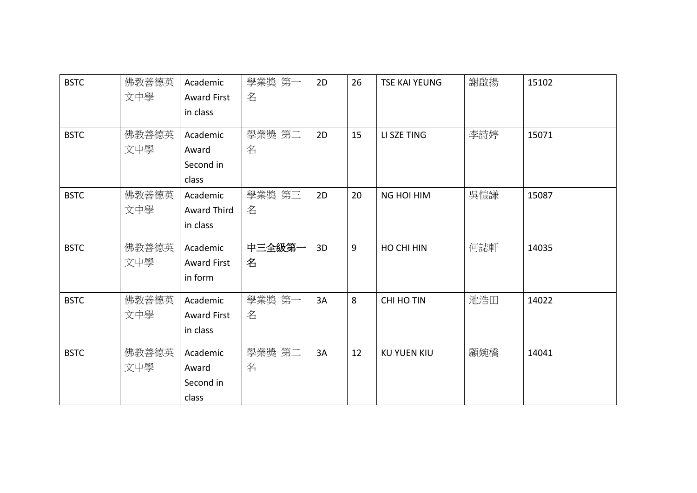| <b>BSTC</b> | 佛教善德英<br>文中學 | Academic<br><b>Award First</b><br>in class | 學業獎 第一<br>名 | 2D | 26 | <b>TSE KAI YEUNG</b> | 謝啟揚 | 15102 |
|-------------|--------------|--------------------------------------------|-------------|----|----|----------------------|-----|-------|
| <b>BSTC</b> | 佛教善德英<br>文中學 | Academic<br>Award<br>Second in<br>class    | 學業獎 第二<br>名 | 2D | 15 | LI SZE TING          | 李詩婷 | 15071 |
| <b>BSTC</b> | 佛教善德英<br>文中學 | Academic<br>Award Third<br>in class        | 學業獎 第三<br>名 | 2D | 20 | <b>NG HOI HIM</b>    | 吳愷謙 | 15087 |
| <b>BSTC</b> | 佛教善德英<br>文中學 | Academic<br><b>Award First</b><br>in form  | 中三全級第一<br>名 | 3D | 9  | HO CHI HIN           | 何誌軒 | 14035 |
| <b>BSTC</b> | 佛教善德英<br>文中學 | Academic<br><b>Award First</b><br>in class | 學業獎 第一<br>名 | 3A | 8  | <b>CHI HO TIN</b>    | 池浩田 | 14022 |
| <b>BSTC</b> | 佛教善德英<br>文中學 | Academic<br>Award<br>Second in<br>class    | 學業獎 第二<br>名 | 3A | 12 | <b>KU YUEN KIU</b>   | 顧婉橋 | 14041 |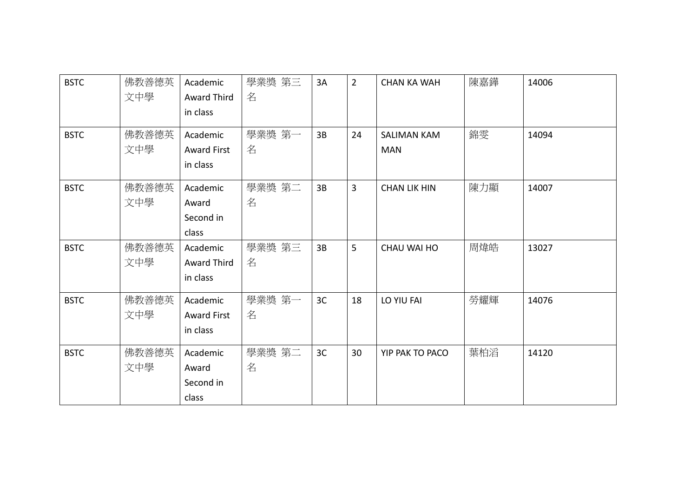| <b>BSTC</b> | 佛教善德英<br>文中學 | Academic<br>Award Third<br>in class        | 學業獎 第三<br>名 | 3A | $\overline{2}$ | <b>CHAN KA WAH</b>               | 陳嘉鏵 | 14006 |
|-------------|--------------|--------------------------------------------|-------------|----|----------------|----------------------------------|-----|-------|
| <b>BSTC</b> | 佛教善德英<br>文中學 | Academic<br><b>Award First</b><br>in class | 學業獎 第一<br>名 | 3B | 24             | <b>SALIMAN KAM</b><br><b>MAN</b> | 錦雯  | 14094 |
| <b>BSTC</b> | 佛教善德英<br>文中學 | Academic<br>Award<br>Second in<br>class    | 學業獎 第二<br>名 | 3B | $\overline{3}$ | <b>CHAN LIK HIN</b>              | 陳力顯 | 14007 |
| <b>BSTC</b> | 佛教善德英<br>文中學 | Academic<br><b>Award Third</b><br>in class | 學業獎 第三<br>名 | 3B | 5              | CHAU WAI HO                      | 周煒皓 | 13027 |
| <b>BSTC</b> | 佛教善德英<br>文中學 | Academic<br><b>Award First</b><br>in class | 學業獎 第一<br>名 | 3C | 18             | LO YIU FAI                       | 勞耀輝 | 14076 |
| <b>BSTC</b> | 佛教善德英<br>文中學 | Academic<br>Award<br>Second in<br>class    | 學業獎 第二<br>名 | 3C | 30             | YIP PAK TO PACO                  | 葉柏滔 | 14120 |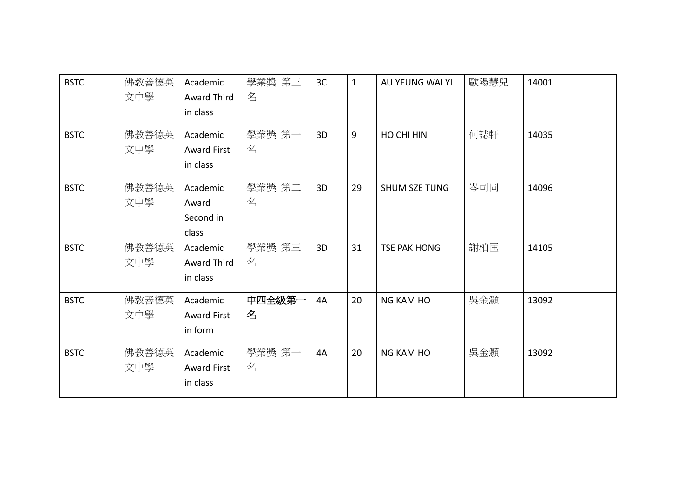| <b>BSTC</b> | 佛教善德英<br>文中學 | Academic<br>Award Third<br>in class        | 學業獎 第三<br>名 | 3 <sup>C</sup> | $\mathbf{1}$ | AU YEUNG WAI YI      | 歐陽慧兒 | 14001 |
|-------------|--------------|--------------------------------------------|-------------|----------------|--------------|----------------------|------|-------|
| <b>BSTC</b> | 佛教善德英<br>文中學 | Academic<br><b>Award First</b><br>in class | 學業獎 第一<br>名 | 3D             | 9            | HO CHI HIN           | 何誌軒  | 14035 |
| <b>BSTC</b> | 佛教善德英<br>文中學 | Academic<br>Award<br>Second in<br>class    | 學業獎 第二<br>名 | 3D             | 29           | <b>SHUM SZE TUNG</b> | 岑司同  | 14096 |
| <b>BSTC</b> | 佛教善德英<br>文中學 | Academic<br>Award Third<br>in class        | 學業獎 第三<br>名 | 3D             | 31           | <b>TSE PAK HONG</b>  | 謝柏匡  | 14105 |
| <b>BSTC</b> | 佛教善德英<br>文中學 | Academic<br><b>Award First</b><br>in form  | 中四全級第一<br>名 | 4A             | 20           | <b>NG KAM HO</b>     | 吳金灝  | 13092 |
| <b>BSTC</b> | 佛教善德英<br>文中學 | Academic<br><b>Award First</b><br>in class | 學業獎 第一<br>名 | 4A             | 20           | <b>NG KAM HO</b>     | 吳金灝  | 13092 |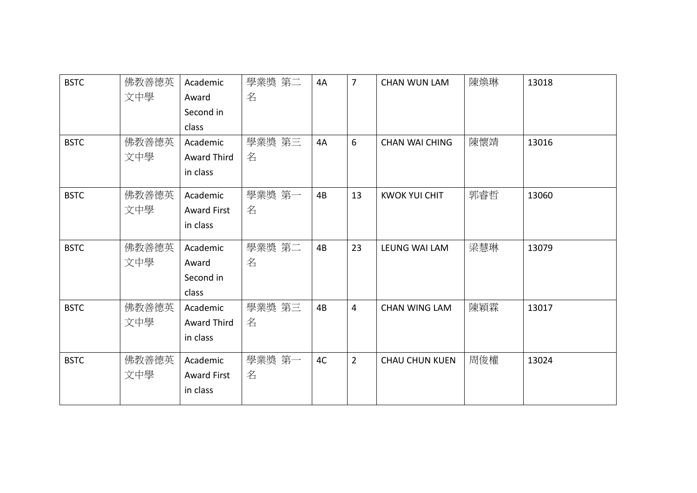| <b>BSTC</b> | 佛教善德英 | Academic           | 學業獎 第二 | 4A | $\overline{7}$ | <b>CHAN WUN LAM</b>   | 陳煥琳 | 13018 |
|-------------|-------|--------------------|--------|----|----------------|-----------------------|-----|-------|
|             | 文中學   | Award              | 名      |    |                |                       |     |       |
|             |       | Second in          |        |    |                |                       |     |       |
|             |       | class              |        |    |                |                       |     |       |
| <b>BSTC</b> | 佛教善德英 | Academic           | 學業獎 第三 | 4A | 6              | <b>CHAN WAI CHING</b> | 陳懷靖 | 13016 |
|             | 文中學   | <b>Award Third</b> | 名      |    |                |                       |     |       |
|             |       | in class           |        |    |                |                       |     |       |
| <b>BSTC</b> | 佛教善德英 | Academic           | 學業獎 第一 | 4B | 13             | <b>KWOK YUI CHIT</b>  | 郭睿哲 | 13060 |
|             | 文中學   | <b>Award First</b> | 名      |    |                |                       |     |       |
|             |       | in class           |        |    |                |                       |     |       |
| <b>BSTC</b> | 佛教善德英 | Academic           | 學業獎 第二 | 4B | 23             | LEUNG WAI LAM         | 梁慧琳 | 13079 |
|             | 文中學   | Award              | 名      |    |                |                       |     |       |
|             |       | Second in          |        |    |                |                       |     |       |
|             |       | class              |        |    |                |                       |     |       |
| <b>BSTC</b> | 佛教善德英 | Academic           | 學業獎 第三 | 4B | $\overline{4}$ | <b>CHAN WING LAM</b>  | 陳穎霖 | 13017 |
|             | 文中學   | Award Third        | 名      |    |                |                       |     |       |
|             |       | in class           |        |    |                |                       |     |       |
| <b>BSTC</b> | 佛教善德英 | Academic           | 學業獎 第一 | 4C | $\overline{2}$ | <b>CHAU CHUN KUEN</b> | 周俊權 | 13024 |
|             | 文中學   | <b>Award First</b> | 名      |    |                |                       |     |       |
|             |       | in class           |        |    |                |                       |     |       |
|             |       |                    |        |    |                |                       |     |       |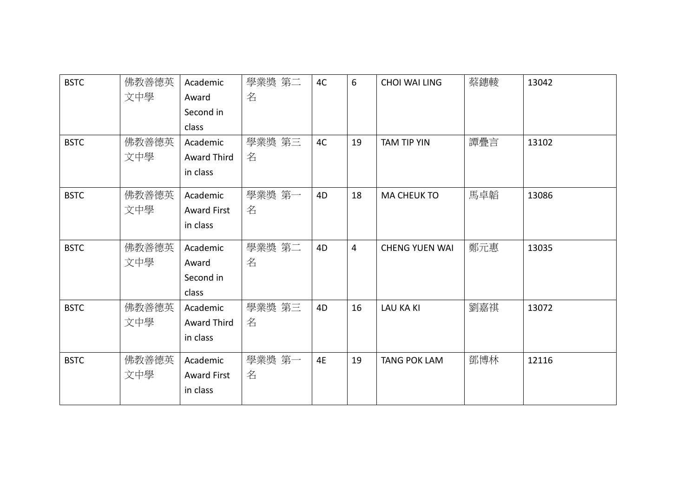| <b>BSTC</b> | 佛教善德英 | Academic           | 學業獎 第二 | 4C | 6              | <b>CHOI WAI LING</b>  | 蔡鏸輘 | 13042 |
|-------------|-------|--------------------|--------|----|----------------|-----------------------|-----|-------|
|             | 文中學   | Award              | 名      |    |                |                       |     |       |
|             |       | Second in          |        |    |                |                       |     |       |
|             |       | class              |        |    |                |                       |     |       |
| <b>BSTC</b> | 佛教善德英 | Academic           | 學業獎 第三 | 4C | 19             | <b>TAM TIP YIN</b>    | 譚疊言 | 13102 |
|             | 文中學   | <b>Award Third</b> | 名      |    |                |                       |     |       |
|             |       | in class           |        |    |                |                       |     |       |
| <b>BSTC</b> | 佛教善德英 | Academic           | 學業獎 第一 | 4D | 18             | <b>MA CHEUK TO</b>    | 馬卓韜 | 13086 |
|             | 文中學   | <b>Award First</b> | 名      |    |                |                       |     |       |
|             |       | in class           |        |    |                |                       |     |       |
| <b>BSTC</b> | 佛教善德英 | Academic           | 學業獎 第二 | 4D | $\overline{4}$ | <b>CHENG YUEN WAI</b> | 鄭元惠 | 13035 |
|             | 文中學   | Award              | 名      |    |                |                       |     |       |
|             |       | Second in          |        |    |                |                       |     |       |
|             |       | class              |        |    |                |                       |     |       |
| <b>BSTC</b> | 佛教善德英 | Academic           | 學業獎 第三 | 4D | 16             | <b>LAU KA KI</b>      | 劉嘉祺 | 13072 |
|             | 文中學   | Award Third        | 名      |    |                |                       |     |       |
|             |       | in class           |        |    |                |                       |     |       |
| <b>BSTC</b> | 佛教善德英 | Academic           | 學業獎 第一 | 4E | 19             | <b>TANG POK LAM</b>   | 鄧博林 | 12116 |
|             | 文中學   | <b>Award First</b> | 名      |    |                |                       |     |       |
|             |       | in class           |        |    |                |                       |     |       |
|             |       |                    |        |    |                |                       |     |       |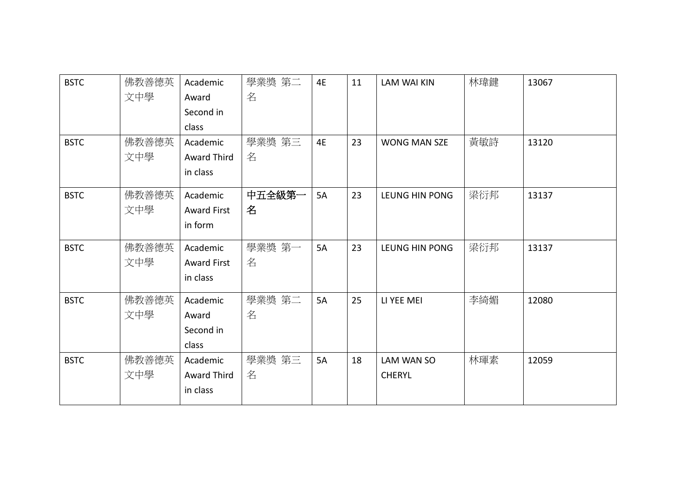| <b>BSTC</b> | 佛教善德英 | Academic           | 學業獎 第二 | 4E        | 11 | <b>LAM WAI KIN</b>  | 林瑋鍵 | 13067 |
|-------------|-------|--------------------|--------|-----------|----|---------------------|-----|-------|
|             | 文中學   | Award              | 名      |           |    |                     |     |       |
|             |       | Second in          |        |           |    |                     |     |       |
|             |       | class              |        |           |    |                     |     |       |
| <b>BSTC</b> | 佛教善德英 | Academic           | 學業獎 第三 | 4E        | 23 | <b>WONG MAN SZE</b> | 黃敏詩 | 13120 |
|             | 文中學   | <b>Award Third</b> | 名      |           |    |                     |     |       |
|             |       | in class           |        |           |    |                     |     |       |
| <b>BSTC</b> | 佛教善德英 | Academic           | 中五全級第一 | <b>5A</b> | 23 | LEUNG HIN PONG      | 梁衍邦 | 13137 |
|             | 文中學   | <b>Award First</b> | 名      |           |    |                     |     |       |
|             |       | in form            |        |           |    |                     |     |       |
| <b>BSTC</b> | 佛教善德英 | Academic           | 學業獎 第一 | 5A        | 23 | LEUNG HIN PONG      | 梁衍邦 | 13137 |
|             | 文中學   | <b>Award First</b> | 名      |           |    |                     |     |       |
|             |       | in class           |        |           |    |                     |     |       |
| <b>BSTC</b> | 佛教善德英 | Academic           | 學業獎 第二 | 5A        | 25 | LI YEE MEI          | 李綺媚 | 12080 |
|             | 文中學   | Award              | 名      |           |    |                     |     |       |
|             |       | Second in          |        |           |    |                     |     |       |
|             |       | class              |        |           |    |                     |     |       |
| <b>BSTC</b> | 佛教善德英 | Academic           | 學業獎 第三 | 5A        | 18 | LAM WAN SO          | 林琿素 | 12059 |
|             | 文中學   | Award Third        | 名      |           |    | <b>CHERYL</b>       |     |       |
|             |       | in class           |        |           |    |                     |     |       |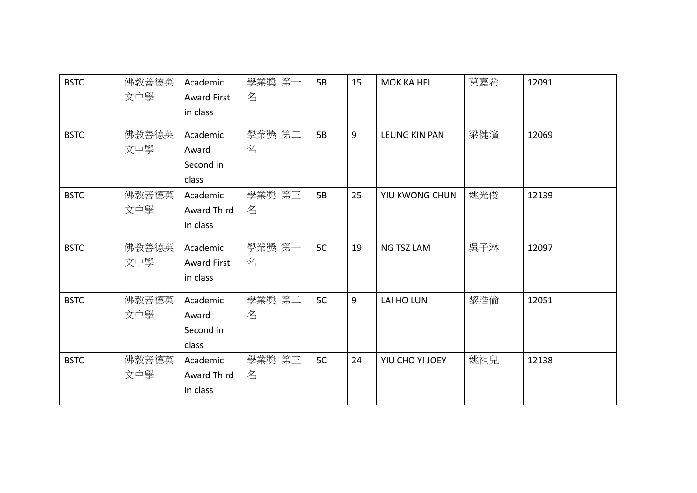| <b>BSTC</b> | 佛教善德英 | Academic           | 學業獎 第一 | 5B | 15 | <b>MOK KA HEI</b> | 莫嘉希 | 12091 |
|-------------|-------|--------------------|--------|----|----|-------------------|-----|-------|
|             | 文中學   | <b>Award First</b> | 名      |    |    |                   |     |       |
|             |       | in class           |        |    |    |                   |     |       |
| <b>BSTC</b> | 佛教善德英 | Academic           | 學業獎 第二 | 5B | 9  | LEUNG KIN PAN     | 梁健濱 | 12069 |
|             | 文中學   | Award              | 名      |    |    |                   |     |       |
|             |       | Second in          |        |    |    |                   |     |       |
|             |       | class              |        |    |    |                   |     |       |
| <b>BSTC</b> | 佛教善德英 | Academic           | 學業獎 第三 | 5B | 25 | YIU KWONG CHUN    | 姚光俊 | 12139 |
|             | 文中學   | Award Third        | 名      |    |    |                   |     |       |
|             |       | in class           |        |    |    |                   |     |       |
| <b>BSTC</b> | 佛教善德英 | Academic           | 學業獎 第一 | 5C | 19 | <b>NG TSZ LAM</b> | 吳子淋 | 12097 |
|             | 文中學   | <b>Award First</b> | 名      |    |    |                   |     |       |
|             |       | in class           |        |    |    |                   |     |       |
| <b>BSTC</b> | 佛教善德英 | Academic           | 學業獎 第二 | 5C | 9  | LAI HO LUN        | 黎浩倫 | 12051 |
|             | 文中學   | Award              | 名      |    |    |                   |     |       |
|             |       | Second in          |        |    |    |                   |     |       |
|             |       | class              |        |    |    |                   |     |       |
| <b>BSTC</b> | 佛教善德英 | Academic           | 學業獎 第三 | 5C | 24 | YIU CHO YI JOEY   | 姚祖兒 | 12138 |
|             | 文中學   | Award Third        | 名      |    |    |                   |     |       |
|             |       | in class           |        |    |    |                   |     |       |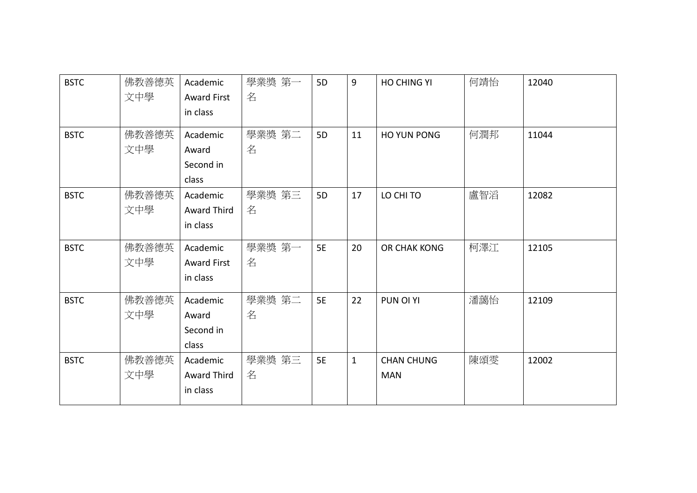| <b>BSTC</b> | 佛教善德英 | Academic           | 學業獎 第一 | 5 <sub>D</sub> | 9            | HO CHING YI       | 何靖怡 | 12040 |
|-------------|-------|--------------------|--------|----------------|--------------|-------------------|-----|-------|
|             | 文中學   | <b>Award First</b> | 名      |                |              |                   |     |       |
|             |       | in class           |        |                |              |                   |     |       |
| <b>BSTC</b> | 佛教善德英 | Academic           | 學業獎 第二 | 5 <sub>D</sub> | 11           | HO YUN PONG       | 何潤邦 | 11044 |
|             | 文中學   | Award              | 名      |                |              |                   |     |       |
|             |       | Second in          |        |                |              |                   |     |       |
|             |       | class              |        |                |              |                   |     |       |
| <b>BSTC</b> | 佛教善德英 | Academic           | 學業獎 第三 | 5D             | 17           | LO CHI TO         | 盧智滔 | 12082 |
|             | 文中學   | <b>Award Third</b> | 名      |                |              |                   |     |       |
|             |       | in class           |        |                |              |                   |     |       |
| <b>BSTC</b> | 佛教善德英 | Academic           | 學業獎 第一 | <b>5E</b>      | 20           | OR CHAK KONG      | 柯澤江 | 12105 |
|             | 文中學   | <b>Award First</b> | 名      |                |              |                   |     |       |
|             |       | in class           |        |                |              |                   |     |       |
| <b>BSTC</b> | 佛教善德英 | Academic           | 學業獎 第二 | <b>5E</b>      | 22           | PUN OI YI         | 潘藹怡 | 12109 |
|             | 文中學   | Award              | 名      |                |              |                   |     |       |
|             |       | Second in          |        |                |              |                   |     |       |
|             |       | class              |        |                |              |                   |     |       |
| <b>BSTC</b> | 佛教善德英 | Academic           | 學業獎 第三 | <b>5E</b>      | $\mathbf{1}$ | <b>CHAN CHUNG</b> | 陳頌雯 | 12002 |
|             | 文中學   | Award Third        | 名      |                |              | <b>MAN</b>        |     |       |
|             |       | in class           |        |                |              |                   |     |       |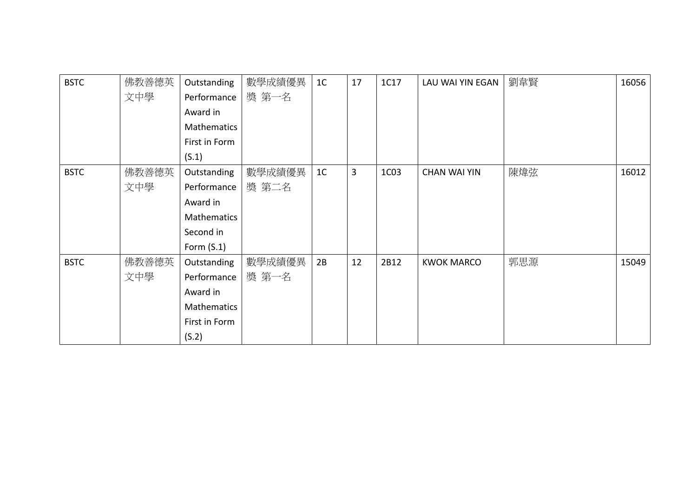| <b>BSTC</b> | 佛教善德英 | Outstanding   | 數學成績優異 | 1 <sup>C</sup> | 17 | 1C17 | LAU WAI YIN EGAN    | 劉韋賢 | 16056 |
|-------------|-------|---------------|--------|----------------|----|------|---------------------|-----|-------|
|             | 文中學   | Performance   | 獎 第一名  |                |    |      |                     |     |       |
|             |       | Award in      |        |                |    |      |                     |     |       |
|             |       | Mathematics   |        |                |    |      |                     |     |       |
|             |       | First in Form |        |                |    |      |                     |     |       |
|             |       | (S.1)         |        |                |    |      |                     |     |       |
| <b>BSTC</b> | 佛教善德英 | Outstanding   | 數學成績優異 | 1 <sup>C</sup> | 3  | 1C03 | <b>CHAN WAI YIN</b> | 陳煒弦 | 16012 |
|             | 文中學   | Performance   | 獎 第二名  |                |    |      |                     |     |       |
|             |       | Award in      |        |                |    |      |                     |     |       |
|             |       | Mathematics   |        |                |    |      |                     |     |       |
|             |       | Second in     |        |                |    |      |                     |     |       |
|             |       | Form $(S.1)$  |        |                |    |      |                     |     |       |
| <b>BSTC</b> | 佛教善德英 | Outstanding   | 數學成績優異 | 2B             | 12 | 2B12 | <b>KWOK MARCO</b>   | 郭思源 | 15049 |
|             | 文中學   | Performance   | 獎 第一名  |                |    |      |                     |     |       |
|             |       | Award in      |        |                |    |      |                     |     |       |
|             |       | Mathematics   |        |                |    |      |                     |     |       |
|             |       | First in Form |        |                |    |      |                     |     |       |
|             |       | (S.2)         |        |                |    |      |                     |     |       |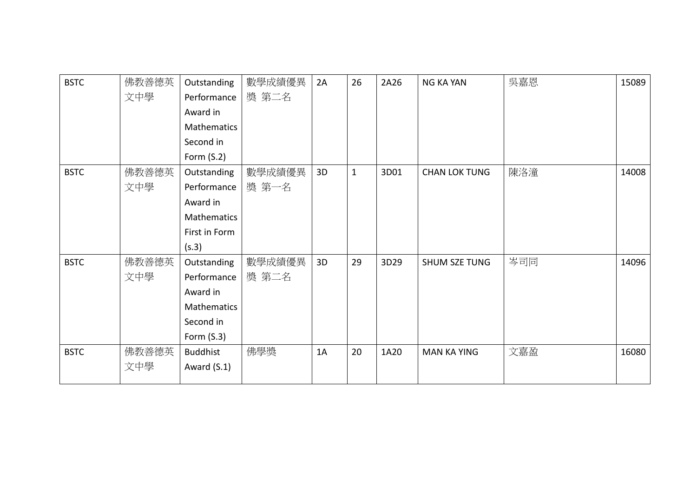| <b>BSTC</b> | 佛教善德英 | Outstanding        | 數學成績優異 | 2A | 26           | 2A26 | <b>NG KA YAN</b>     | 吳嘉恩 | 15089 |
|-------------|-------|--------------------|--------|----|--------------|------|----------------------|-----|-------|
|             | 文中學   | Performance        | 獎 第二名  |    |              |      |                      |     |       |
|             |       | Award in           |        |    |              |      |                      |     |       |
|             |       | <b>Mathematics</b> |        |    |              |      |                      |     |       |
|             |       | Second in          |        |    |              |      |                      |     |       |
|             |       | Form $(S.2)$       |        |    |              |      |                      |     |       |
| <b>BSTC</b> | 佛教善德英 | Outstanding        | 數學成績優異 | 3D | $\mathbf{1}$ | 3D01 | <b>CHAN LOK TUNG</b> | 陳洛潼 | 14008 |
|             | 文中學   | Performance        | 獎 第一名  |    |              |      |                      |     |       |
|             |       | Award in           |        |    |              |      |                      |     |       |
|             |       | Mathematics        |        |    |              |      |                      |     |       |
|             |       | First in Form      |        |    |              |      |                      |     |       |
|             |       | (s.3)              |        |    |              |      |                      |     |       |
| <b>BSTC</b> | 佛教善德英 | Outstanding        | 數學成績優異 | 3D | 29           | 3D29 | <b>SHUM SZE TUNG</b> | 岑司同 | 14096 |
|             | 文中學   | Performance        | 獎 第二名  |    |              |      |                      |     |       |
|             |       | Award in           |        |    |              |      |                      |     |       |
|             |       | Mathematics        |        |    |              |      |                      |     |       |
|             |       | Second in          |        |    |              |      |                      |     |       |
|             |       | Form $(S.3)$       |        |    |              |      |                      |     |       |
| <b>BSTC</b> | 佛教善德英 | <b>Buddhist</b>    | 佛學獎    | 1A | 20           | 1A20 | <b>MAN KA YING</b>   | 文嘉盈 | 16080 |
|             | 文中學   | Award $(S.1)$      |        |    |              |      |                      |     |       |
|             |       |                    |        |    |              |      |                      |     |       |